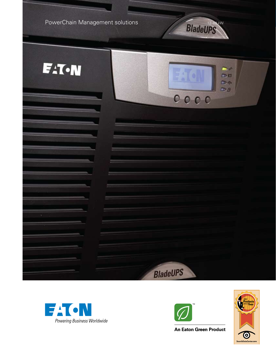





**An Eaton Green Product** 

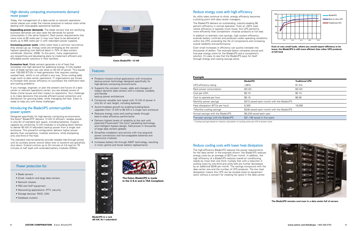#### High-density computing environments demand more power

Today, the management of a data center or network operations center places you under the intense pressure to reduce costs while dealing with inescapable operational realities:

**Expanding power demands.** The blade servers that are satisfying business demands can also raise the demands for power consumption in the same footprint. Rack power requirements that were once at 60 watts per U may now have to be delivered at levels up to 600 watts per U with redundant power supplies.

**Increasing power costs.** Utility rates have a common recurrence, they always go up. Energy costs are emerging as the second highest operating cost (behind labor) in 70% of data centers worldwide. (Gartner, 2009). To this point, many organizations are researching and developing plans to implement efficient and affordable power solutions in their facilities.

**Excessive heat.** Blade servers generate a lot of heat that translates into high demand for additional energy. A fully loaded rack of blade servers can use close to 30 kW of power. This equals over 100,000 BTU/hr in heat generation that requires cooling– wasted heat, which is not utilized in any way. Since cooling adds huge costs to data center operations, IT organizations are forced to increase their power efficiency to counteract the inefficient heat and cooling problems.

If you manage, engineer, or plan the present and future of a data center or network operations center, you are already aware of these critical issues and their impact on operations. Your challenge is to make decisions that provide efficient power protection and distribution for growing loads, while managing the heat. Eaton is ready to help you with these challenges.

#### Introducing the BladeUPS uninterruptible power system

Designed specifically for high-density computing environments, the Eaton® BladeUPS® delivers 12 kW of efficient, reliable power in only 6U of standard rack space, including batteries. Expand capacity by combining 12 kW modules in a building block fashion to deliver 60 kW of redundant backup power from a single rack enclosure. This powerful configuration delivers higher power density than competitive, modular solutions, while dissipating only one-third of the heat.

In addition to dramatic cost savings, high system efficiency extends battery runtimes and produces cooler operating conditions within the UPS, extending the life of components and increasing overall reliability and performance.

The standard internal batteries provide needed ride-through power until an auxiliary power source takes over or systems are gracefully shut down. Extend runtime up to 34 minutes at full load (or 76 minutes at half load) with extended battery modules (EBMs).



**Eaton BladeUPS—12 kW**

# **Features**



**BladeUPS in a rack (60 kW, N+1 redundant)**

# Reduce cooling costs with lower heat dissipation

The high-efficiency BladeUPS reduces the power requirements for the data center. In the example shown, the BladeUPS reduces energy costs by an average of \$273 per month. In addition, the high efficiency of a BladeUPS reduces overall air conditioning needs by more than one third; multiply that with a reduction in cooling costs by one-third and utility bills are further decreased by an additional \$246 per month. The savings compound with the data center size and the number of UPS products. The low heat dissipation means this UPS can be located close to equipment racks without a concern for creating hot spots in the data center.

- Protects mission-critical applications with innovative backup power technology designed specifically for high-density computing environments
- • Supports the constant moves, adds and changes of today's dynamic data centers with a modular, scalable, and flexible
- backup power architecture
- Conserves valuable rack space with 12 kW of power in only 6U of rack height, including batteries
- Accommodates growth by enabling building-block upgrades from 12 kW to 60 kW in a single rack enclosure
- Reduces energy costs and cooling needs through best-in-class efficiency performance
- Delivers highest levels of reliability at the rack with patented Powerware® Hot Sync® paralleling technology and intelligent bypass design, field proven in thousands of large data centers globally
- Simplifies installation and service with true plug-andpower connections and hot-swappable batteries and electronics modules
- Increases battery life through ABM® technology, resulting in more uptime and fewer battery replacements

**Even at very small loads, where you would expect efficiency to be lower, the BladeUPS is still more efficient than other UPS products at full load.**





# Reduce energy costs with high efficiency

As utility rates continue to climb, energy efficiency becomes a sticking point with data center managers.

The BladeUPS delivers an outstanding, industry-leading 98 percent efficiency in normal operation. Even at <50% load, where efficiency is typically much lower, this UPS performs more efficiently than competitors' modular products at full load.

Even small increases in efficiency can quickly translate into thousands of dollars. The example below compares annual and five-year energy costs for the BladeUPS and a competitor's solution. It's easy to see that the BladeUPS pays for itself through energy and cooling savings alone.

**The BladeUPS remains cool even in a data center full of servers.**

#### **Example**

|                                     | <b>BladeUPS</b>                          | <b>Traditional UPS</b> |  |  |
|-------------------------------------|------------------------------------------|------------------------|--|--|
| UPS efficiency rating               | >98%                                     | 91.5%                  |  |  |
| Rack power consumption              | 60 kW                                    | 60 kW                  |  |  |
| Cost per kWh                        | \$0.10                                   | \$0.10                 |  |  |
| Cost to operate per hour            | \$6.18                                   | \$6.56                 |  |  |
| Monthly power savings               | \$273 saved each month with the BladeUPS |                        |  |  |
| Heat dissipation (BTUs per hour)    | 6.300                                    | 19,000                 |  |  |
| *Monthly cooling savings            | \$246 saved each month with the BladeUPS |                        |  |  |
| Annual savings with the BladeUPS    | \$6,238 saved each year                  |                        |  |  |
| Five-year savings with the BladeUPS | \$31,190 saved in five years             |                        |  |  |

*\* Cooling savings based on industry calculation of cooling costs per kW of power costs.*

#### Power protection for:

- Blade servers
- Small, medium and large data centers
- Network closets
- PBX and VoIP equipment
- Networking applications: IPTV, security
- Storage devices: RAID, SAN
- Database clusters

**The Eaton BladeUPS is made in the U.S.A and is TAA Compliant.**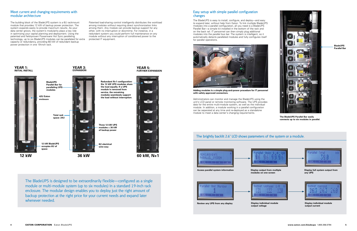#### Meet current and changing requirements with modular architecture



The BladeUPS is designed to be extraordinarily flexible—configured as a single module or multi-module system (up to six modules) in a standard 19-inch rack enclosure. The modular design enables you to deploy just the right amount of backup protection at the right price for your current needs and expand later whenever needed.

### Easy setup with simple parallel configuration changes

The BladeUPS is easy to install, configure, and deploy—and easy to expand later, without help from Eaton. To link multiple BladeUPS modules into a parallel configuration, all you need is a BladeUPS Parallel Bar—a simple kit installed in the bottom of the rack and on the back rail. IT personnel can then simply plug additional modules into the parallel bus bar. The system is intelligent, so it automatically detects paralleled modules and fully configures itself for parallel operations.

Administrators can monitor and manage the BladeUPS using the unit's LCD panel or remote monitoring software. The UPS provides data for the entire multi-module system, as well as the individual module. In addition, a module working in a parallel configuration can be separated at any time and re-deployed as a standalone module to meet a data center's changing requirements.

# The brightly backlit 2.6" LCD shows parameters of the system or a module.





**Access parallel system information Display output from multiple** 





**Review any UPS from any display <b>Display individual module** 



**The BladeUPS Parallel Bar easily connects up to six modules in parallel.**



**output voltage**



**Adding modules is a simple plug-and-power procedure for IT personnel with safety-approved connectors.**

The building block of the BladeUPS system is a 6U rackmount module that provides 12 kW of backup power protection. The system expands easily to provide maximum results. As your data center grows, the system's modularity plays a key role in optimizing your capital planning and deployment. Using the patented and field-proven Powerware Hot Sync paralleling technology, up to six BladeUPS modules can be paralleled for extra capacity or redundancy, providing 60 kW of redundant backup power protection in one 19-inch rack.

Patented load-sharing control intelligently distributes the workload among modules without requiring direct synchronization links among them. Any module can provide backup support for any other, with no interruption or downtime. For instance, in a redundant system you could perform full maintenance on any module without any interruption of conditioned power to the protected IT equipment.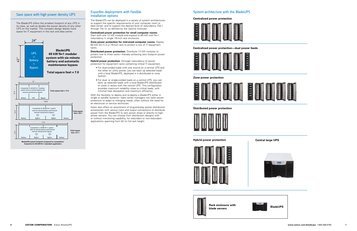#### Save space with high power density UPS Expedite deployment with flexible installation options

The BladeUPS can be deployed in a variety of system architectures to support the specific requirements of your computer room or data center, and to support the desired level of redundancy (Tier I through Tier IV, as defined by the Uptime Institute).

#### **Centralized power protection for small computer rooms.**

**Hybrid power protection.** Stronger redundancy of power protection for equipment racks containing critical IT equipment.

Start with one 12 kW module and expand to 60 kW with N+1 redundancy in single 19-inch rack enclosure.

**Zone power protection for mid-sized computer rooms.** Deploy 60 kW (N+1) in a 19-inch rack to protect a row of IT equipment racks.

**Distributed power protection.** Distribute 12 kW modules to protect one to three racks—thereby achieving zero footprint power protection.

- For dual-corded loads with one source on a central UPS and the other on utility power, you can back up selected loads with a local BladeUPS, deployed in a distributed or zone fashion.
- For dual- or single-corded loads on a central UPS, you can back up selected loads with a local BladeUPS (distributed or zone) in series with the central UPS. This configuration provides maximum reliability close to critical loads, with minimal heat dissipation and maximum efficiency.

With the flexibility to deploy and re-deploy a BladeUPS either in single or parallel systems—data center managers can tailor power protection to adapt to changing needs, often without the need for<br> **Total structure of a service tooknisien** an electrician or service technician.

Eaton also offers an assortment of plug-and-play power distribution accessories with various input and output connections to distribute power from the BladeUPS to rack power strips or directly to highpower servers. You can choose from distribution designs with or without monitoring capability, for redundant or non-redundant applications spanning from 0U to full rack height.

> **Black enclosure with Rack enclosure with Rack enclosure with Rack enclosure with Rack enclosure with Rack Rack R blade servers**





**BladeUPS system footprint compared to competitors' footprints for 60 kW N+1 redundant application**

**Distributed power protection**



**Hybrid power protection Central large UPS** 





**Zone power protection**



#### System architecture with the BladeUPS

**Centralized power protection**



**Centralized power protection—dual power feeds**



The BladeUPS offers the smallest footprint of any UPS in its class, as well as double the power density of any other UPS on the market. This compact design leaves more space for IT equipment in the rack and data center.



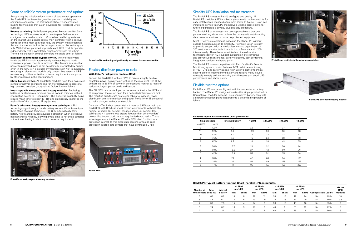#### Simplify UPS installation and maintenance

The BladeUPS is easy to install, configure and deploy. All BladeUPS modules (UPS and battery) come with rackmount kits for easy installation in standard equipment racks. In-house IT staff can install and service this UPS themselves. Adding parallel units for future expansion is a simple, plug-and-play procedure.

The BladeUPS battery trays are user-replaceable so that one person, working alone, can replace the battery without disrupting data center operations or power to protected equipment.

Each BladeUPS can be configured with its own external battery backup. The BladeUPS design eliminates this single point of failure. Competitive, modular systems use a centralized battery bank with a shared connection point that presents a potential single point of a online compositive point that processes percental only of point of **BladeUPS extended battery module**<br>Tailure

Most IT teams are confident managing the BladeUPS without outside help because of its simplicity. However, Eaton is ready to provide support with its world-class service organization of 300 customer service technicians in North America and 1,200 internationally. These factory-certified and trained service technicians deliver 7x24 support including on-site corrective and preventive maintenance, battery solutions, service training, integration services and spare parts.

The BladeUPS is also compatible with Eaton's eNotify Remote Monitoring system, which features 7x24 real-time monitoring of 100+ UPS and battery alarms, with Eaton's staff of technical experts able to respond immediately and resolve many issues remotely. eNotify delivers monthly e-mail reports that detail UPS performance and alarm history.

#### Flexible runtime options



**IT staff can easily install electronics modules.**



#### **in minutes)**

#### **BladeUPS Typical Battery Runtime Chart (in minutes)**

| <b>Single Module</b> |        | <b>Internal Battery</b> | $+1$ EBM | $+2$ EBMs | $+3$ EBMs | +4 EBMs |
|----------------------|--------|-------------------------|----------|-----------|-----------|---------|
| Load kW              | Load % |                         |          |           |           |         |
| 12                   | 100%   | 4.7                     | 9.5      | 17        | 27        | 34      |
| 11                   | 92%    | 5.4                     | 10.9     | 20        | 30        | 38      |
| 10                   | 83%    | 6.2                     | 13       | 22        | 33        | 42      |
| 9                    | 75%    | 7.3                     | 15       | 24        | 38        | 48      |
| 8                    | 67%    | 8.7                     | 18       | 28        | 43        | 55      |
| 7                    | 58%    | 10.7                    | 23       | 32        | 50        | 64      |
| 6                    | 50%    | 13.6                    | 27       | 42        | 60        | 76      |
| 5                    | 42%    | 18.5                    | 33       | 51        | 73        | 94      |
| 4                    | 33%    | 23                      | 42       | 66        | 94        | 120     |
| 3                    | 25%    | 30                      | 56       | 89        | 128       | 165     |
| 2                    | 17%    | 44                      | 85       | 137       | 199       | 258     |

**Static bypass switch.** All BladeUPS modules have their own static switch for normal operations and for internal bypass in case of a high overload condition, output load fault or internal failure.

| Total<br>Number of        |    | Internal       | $+1$ EBM<br>per UPS |             | +2 EBMs<br>per UPS |             | +3 EBMs<br>per UPS |             | +4 EBMs<br>per UPS |             |                             |     | kW per<br><b>UPS</b> |
|---------------------------|----|----------------|---------------------|-------------|--------------------|-------------|--------------------|-------------|--------------------|-------------|-----------------------------|-----|----------------------|
| <b>UPS Models Load kW</b> |    | <b>Battery</b> | Min                 | <b>EBMs</b> | Min                | <b>EBMs</b> | Min                | <b>EBMs</b> | Min                | <b>EBMs</b> | <b>Configuration Load %</b> |     | <b>Modules</b>       |
| 6                         | 60 | 6.2            | 13                  | 6           | 22                 | 12          | 33                 | 18          | 42                 | 24          | $N+1$                       | 83% | 10                   |
| 5                         | 48 | 6.7            | 13                  | 5           | 23                 | 10          | 35                 | 15          | 44                 | 20          | $N+1$                       | 80% | 9.6                  |
|                           | 36 | 7.3            | 15                  | 4           | 24                 | 8           | 38                 | 12          | 48                 | 16          | $N+1$                       | 75% | 9                    |
| 3                         | 24 | 8.7            | 18                  | 3           | 28                 | 6           | 43                 | 9           | 55                 | 12          | $N+1$                       | 67% | 8                    |
|                           | 12 | 14             | 27                  |             | 42                 | 4           | 60                 | 6           | 76                 | 8           | $N+1$                       | 50% | 6                    |

#### Count on reliable system performance and uptime

Recognizing the mission-critical nature of data center operations, the BladeUPS has been designed for premium reliability and continuous operation. The rackmount BladeUPS incorporates leading technologies that Eaton developed for its largest UPSs, such as:

**Robust paralleling.** With Eaton's patented Powerware Hot Sync technology, UPS modules work in peer-to-peer fashion when configured in a parallel system. Most other paralleling systems on the market use a single central main controller with a backup controller. If the main controller fails, the system must recognize this and transfer control to the backup control, or the entire system fails. With Eaton's patented approach, each UPS module operates independently, yet is completely synchronized with the others. There is no change in control, therefore no single point of failure.

**Intelligent maintenance bypass switch.** The internal switch inside the UPS chassis automatically activates bypass mode whenever a power module is removed. This feature ensures that power to protected loads is not accidentally interrupted by human error. (If the UPS is in a parallel environment with N+1 redundancy, removing an electronics module only causes that particular UPS module to go offline while the protected equipment is supported by other modules in the configuration).

**Hot-swappable electronics and battery modules.** Replacing batteries or electronics modules can be done in minutes without interrupting power to IT equipment. This hot-swap capability helps reduce mean time to repair (MTTR) and dramatically improves the availability of the protected IT equipment.

**Eaton's advanced battery management technique.** ABM technology significantly extends battery service life with a unique three-stage charging technique. The UPS automatically tests battery health and provides advance notification when preventive maintenance is needed, allowing ample time to hot-swap batteries without ever having to shut down connected equipment.



**Eaton's ABM technology significantly increases battery service life.**



# Flexibly distribute power to racks

#### **With Eaton's rack power module (RPM)**

Partner the BladeUPS with an RPM to create a highly flexible, adaptable power delivery architecture at the rack level. The RPM delivers up to 36 kW of power in an organized manner to loads of various voltages, power cords and layouts.

The 3U RPM can be deployed in the same rack with the UPS and IT equipment; there's no need for a dedicated infrastructure rack. The resulting architecture has fewer cables to manage, fewer distribution points to monitor and greater flexibility for IT personnel to make changes without an electrician.

Consider a Tier II data center with 42 racks at 5 kW per rack: the BladeUPS with RPM can meet power requirements with half the number of racks, 60 percent less rack space, 45 percent less cabling and 41 percent less square footage than other vendors' power distribution products that require dedicated racks. These advantages make the BladeUPS with RPM ideal for distributed protection in small to mid-sized data centers, or to add zone protection in large data centers that have centralized UPSs.



**Eaton RPM**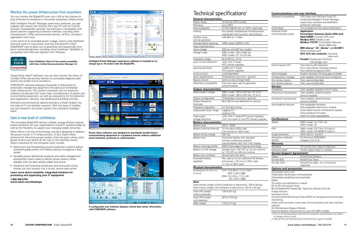# Technical specifications1

#### **Communications and user interface**

| <b>General characteristics</b>                 | כווטואטווועט אך וואטוווועט                                                  | Software compatibility                                            | UPS ships with Software Suite CD                                              |  |  |  |  |
|------------------------------------------------|-----------------------------------------------------------------------------|-------------------------------------------------------------------|-------------------------------------------------------------------------------|--|--|--|--|
| Power rating                                   | 12 kW per UPS module                                                        |                                                                   | containing Intelligent Power Manager<br>supervisory software and NetWatch     |  |  |  |  |
| Efficiency                                     | Up to 98%                                                                   |                                                                   | protection software                                                           |  |  |  |  |
| Heat dissipation                               | 371W/1266 BTU/hr at 100% rated load                                         | X-Slot Bays                                                       | Two available for the cards listed below                                      |  |  |  |  |
| Cooling                                        | Fan cooled, temperature microprocessor                                      | Optional X-Slot                                                   | <b>Application:</b>                                                           |  |  |  |  |
| Audible noise,                                 | monitored; front air entry, rear exhaust<br><60 dBA at 1 meter              | communication cards                                               | PowerXpert Gateway Series 2000 card<br>Web/SNMP: Connect UPS card             |  |  |  |  |
| normal operation                               |                                                                             |                                                                   | <b>Modbus RTU: Modbus card</b><br><b>Modbus TCP/IP: PowerXpert Gateway</b>    |  |  |  |  |
| Altitude before derating                       | 1000 meters (3300 ft ASL)                                                   |                                                                   | Series 2000 card                                                              |  |  |  |  |
| Input characteristics                          | 208 Vac and 400 Vac models                                                  |                                                                   | IBM eServer" (i5", iSeries", or AS/400°):                                     |  |  |  |  |
| Input voltage<br>Voltage range                 | 208V model: 180 to 265 Vac                                                  |                                                                   | Relay interface card                                                          |  |  |  |  |
|                                                | 400V model: 311 to 519 Vac                                                  |                                                                   | N/O, N/C (dry contacts): Industrial<br>relay card                             |  |  |  |  |
| Frequency range                                | 50 or 60 Hz, ±5 Hz                                                          |                                                                   | Parallel: Powerware Hot Sync                                                  |  |  |  |  |
| Input current distortion                       | <5% with IT loads<br>(PFC power supplies)                                   | Control panel LCD                                                 | CAN Bridge card<br>Two lines by 20 characters                                 |  |  |  |  |
| Input power factor                             | >0.99 with IT loads<br>(PFC power supplies)                                 |                                                                   | Four menu-driven interface buttons<br>Four status-at-a-glance LEDs            |  |  |  |  |
| Inrush current                                 | Load dependent                                                              | Multi-language                                                    | English standard; 20 languages available                                      |  |  |  |  |
| Input requirements                             | Three-phase, four-wire + ground                                             | Configuration changes                                             | User capable, firmware auto configures                                        |  |  |  |  |
| Bypass source                                  | Same as input (single feed)                                                 | Dry contact inputs                                                | Two, user-configurable                                                        |  |  |  |  |
| Generator compatibility                        | Fast sync slew rate for generator                                           | Dry contact outputs                                               | One, user-configurable                                                        |  |  |  |  |
|                                                | synchronization                                                             | <b>Service</b>                                                    |                                                                               |  |  |  |  |
| <b>Output characteristics</b>                  |                                                                             | Installation                                                      | User capable, located in the IT racks                                         |  |  |  |  |
| Rated output voltage                           | 208V model: 180 to 225 Vac, Ph to Ph<br>400V model: 180 to 240 Vac, Ph to N | Preventive maintenance                                            | User capable, optional factory<br>service available                           |  |  |  |  |
| Output configuration<br>Output frequency       | Three-phase, four-wire + ground<br>50 or 60 Hz auto-detection on startup    | Corrective maintenance                                            | User capable, optional factory<br>service available                           |  |  |  |  |
| (nominal)                                      |                                                                             | Serviceability features                                           | Hot-swappable batteries                                                       |  |  |  |  |
| Frequency regulation                           | 0.1 Hz free running                                                         |                                                                   | Hot-swappable electronics module                                              |  |  |  |  |
| Load power factor range                        | Lagging: 0.7<br>Leading: 0.9                                                |                                                                   | Automated internal maintenance bypass<br>Auto-configure firmware              |  |  |  |  |
| Total output                                   | <3% with IT loads (PFC power supplies)                                      |                                                                   | Flash firmware upgradeable                                                    |  |  |  |  |
| voltage distortion                             | <5% non-linear or non-PFC power supplies                                    | <b>Certifications</b>                                             |                                                                               |  |  |  |  |
| <b>Battery characteristics</b><br>Battery type | VRLA - AGM                                                                  | Safety                                                            | 208V model: UL1778, cUL<br>400V model: CE                                     |  |  |  |  |
| Battery runtime (internal)                     | 13 minutes at 50% load                                                      | <b>EMI</b>                                                        | 208V model: FCC Part 15 Class A                                               |  |  |  |  |
|                                                | 4.8 minutes at 100% load                                                    |                                                                   | 400V model: EN 62040-2 Class A                                                |  |  |  |  |
| Battery string voltage                         | 240 Vdc                                                                     | Surge protection                                                  | ANSI C62.41, Cat B-3                                                          |  |  |  |  |
| Battery test                                   | Automatic battery test standard<br>(remote scheduling capable);             | Hazardous materials<br>(RoHS)                                     | EU Directive 2002/95/EC<br>Category 3 (4 of 5)                                |  |  |  |  |
|                                                | manual battery test from front display                                      | <b>Warranty</b>                                                   |                                                                               |  |  |  |  |
| Battery recharge profile                       | ABM three-stage charging technology                                         | Standard                                                          | 18 months from date of shipment                                               |  |  |  |  |
| Battery cut-off voltage                        | Variable from 1.67 VPC at <5 min runtime                                    | Warranty repair                                                   | Factory depot repair or replace                                               |  |  |  |  |
|                                                | to 1.75 VPC at >90 min runtime                                              | <b>Service Support Agreements<sup>2</sup></b>                     |                                                                               |  |  |  |  |
| Battery low condition                          | Announced with alarm                                                        | Depot                                                             | PowerTrust Express                                                            |  |  |  |  |
| Extended battery                               | Yes, add up to four additional 3U battery                                   | On-site 5x8                                                       | PowerTrust Value                                                              |  |  |  |  |
| capability                                     | enclosures (~34 min at 100% load,<br>>1 hour at 50% load)                   | On-site 7x24                                                      | PowerTrust eight-, six- or two-hour                                           |  |  |  |  |
| <b>Physical characteristics</b>                |                                                                             |                                                                   | response                                                                      |  |  |  |  |
| Dimensions $H \times W \times D$ ,             | UPS: 10.3 (6U) x 17.4 x 26.0                                                | <b>Options and accessories</b><br>Detachable input cord           |                                                                               |  |  |  |  |
| in $(mm)$                                      | $(267 \times 442 \times 660)$                                               | Detachable input/output cord assembly                             |                                                                               |  |  |  |  |
|                                                | EBM: 5.2 (3U) x 17.2 x 26<br>132 x 437 x 660)                               | Detachable paralleling cord assembly                              |                                                                               |  |  |  |  |
| Note:                                          |                                                                             | <b>EBMs</b><br>3U output sub-distribution module                  |                                                                               |  |  |  |  |
|                                                | Total chassis weight without batteries or electronics: 100 lb (46 kg)       | 0U to 3U rack power strips                                        |                                                                               |  |  |  |  |
|                                                | Total chassis weight with batteries or electronics: 307 lb (140 kg)         |                                                                   | 60 kW BladeUPS Parallel Bar, Top Entry, Bottom Entry &                        |  |  |  |  |
| Total UPS weight<br>without batteries          | 135 lb (61 kg)                                                              | 4-high versions<br>Four-post rail kit                             |                                                                               |  |  |  |  |
| Total UPS weight                               | 307 lb (140 kg)                                                             | Environmental Monitoring Probe (EMP) for temperature and humidity |                                                                               |  |  |  |  |
| with batteries                                 |                                                                             | monitoring                                                        | X-Slot communication cards (see Communications and user interface             |  |  |  |  |
| EBM weight                                     | 170 lb (77 kg)                                                              | section)                                                          |                                                                               |  |  |  |  |
|                                                |                                                                             | 3U Maintenance Bypass Module                                      | External Battery Interconnect for use with 400V models                        |  |  |  |  |
|                                                |                                                                             |                                                                   | 1. Due to continuing product improvement programs, specifications are subject |  |  |  |  |
|                                                |                                                                             | to change without notice.                                         | 2. eNotify Remote Monitoring and 7x24 technical support included.             |  |  |  |  |

- Rackmount and freestanding power protection systems deliver computer-grade power with battery backup throughout a data center
- Versatile power distribution products and cable management accessories make it easy to deliver power exactly where needed, even as data centers adapt and evolve
- Attractive and functional enclosures and structured wiring closets turn any location into a virtual, secure data center

#### Monitor the power infrastructure from anywhere

You can monitor the BladeUPS over your LAN or the Internet to stay informed of conditions in the power protection infrastructure.

With Intelligent Power® Manager supervisory software, you get a global view across the network from any PC with an Internet browser. Exceptionally versatile, the software is compatible with power devices supporting a network interface, including other manufacturers' UPSs, environmental sensors, ePDUs, shutdown applications and more.

In the event of an extended power outage, Eaton's free NetWatch software works in conjunction with the ConnectUPS X-Slot<sup>®</sup> Web/SNMP card to allow you to gracefully and sequentially shut down connected devices, including virtual machines. NetWatch is compatible with ESXi and vSphere from VMware.



Using Power Xpert® software, you can also monitor the status of multiple UPSs and ancillary devices to accurately diagnose past events and predict future conditions.

FORESEER® software analyzes thousands of data points to proactively manage key equipment throughout an enterprisewide infrastructure. This system interfaces with an extensive collection of devices from most major manufacturers of power and environmental equipment, as well as subsystems for fire detection and suppression, security, fuel handling and building controls.

Software and connectivity options provide a unified window into the state of IT and facilities systems. With this level of visibility, you can transform the power system into a powerful strategic asset.

# Gain a new level of confidence

The innovative BladeUPS delivers reliable, energy-efficient backup power protection for your organization's critical IT systems today as well as the flexibility to support your changing needs tomorrow.

Eaton offers a full line of technology solutions designed to address the power crunch in IT infrastructures. In fact, Eaton offers solutions for the entire power system, from the point where utility power enters your facility all the way to the individual server. Eaton's solutions for the computer room include:

**Learn more about complete, integrated solutions for protecting and organizing your IT equipment.** 

**1.800.356.5794 www.eaton.com/bladeups**

|                                          | <b>CALL AND IN</b> |                                   |                            |                               |                                         |                       |                         | <b>AT Selection case</b>                   |                            |
|------------------------------------------|--------------------|-----------------------------------|----------------------------|-------------------------------|-----------------------------------------|-----------------------|-------------------------|--------------------------------------------|----------------------------|
|                                          | <b>Sale</b>        | <b>Sale</b>                       | <b>Stanley</b>             | <b>Localistic</b>             | <b>Letter</b>                           | <b>Americans</b>      |                         | <b>SITU GATES</b>                          |                            |
| <b>Elfred Let</b><br><b>Cynon man</b>    | э                  | ö                                 | CASTLE MIDTELINESS.        |                               |                                         |                       |                         | $0$ 10 $200 - 201$                         |                            |
|                                          |                    | ö                                 | 949 9129 411               |                               |                                         |                       |                         |                                            | <b>EXHIBITION</b>          |
| <b>Sidness</b><br>in Artists from the    |                    | ö                                 | 10.01.25 (8)               |                               |                                         |                       |                         | <b>Louis Mark on</b>                       |                            |
| (Die US)                                 |                    | ۰                                 | <b>THE ARE LINE LIKE</b>   | <b>Innige Ball Block</b>      | <b>Imported Boott Freinger</b>          | <b>PERSON</b>         |                         | <b>Russian and Artists</b><br><b>LETTE</b> |                            |
| <b>ATAH TELL</b>                         |                    | e                                 | 1003012944                 |                               |                                         |                       |                         | 2 and you                                  | 开放系统                       |
| <b>Chine Anie</b><br><b>UET Les This</b> |                    | ö                                 | 100103-00715               |                               |                                         |                       |                         |                                            |                            |
| <b>ATT BEAUTIFI</b>                      |                    | ó                                 | 100.45.124.140             | 600 E Sea B Sea 4, paradotos  |                                         | $-$                   |                         | <b>Soka</b>                                |                            |
| <b>Ziranna</b> krakup.                   |                    | ۰                                 | <b>Video St. Link Fell</b> | tangular barat                | long ing theirs the read                | ≖                     |                         |                                            | <b>O</b> little ave        |
| Cheese during                            |                    | ö                                 | <b>KIRINY TOW FT</b>       |                               |                                         |                       |                         | <b>Banks</b>                               | <b>The Asian de Aranas</b> |
| A List became                            |                    | ó                                 | <b>HA-BI (34 171)</b>      |                               |                                         |                       |                         | Take- key                                  | <b>O</b> House             |
| Okker                                    |                    | ö                                 | always and fill of their   |                               |                                         |                       |                         | Foreign Constant<br>Light Street           | $0.10-0.01$<br><b>TIME</b> |
| <b>Blanchard</b>                         | <b>13</b>          | ۰                                 | \$1,223 W. Ltd.            |                               |                                         | 173272                | 19                      | Delains needed in                          | <b>STATE</b>               |
| Bottom C                                 |                    | ۰                                 | 9120518-100                | $\sim$                        | <b>KILL</b>                             | $17.247 + 24$         | 14.                     | Ended to the Edge                          |                            |
|                                          |                    | ۰                                 | <b>DECALL CALLS</b>        |                               |                                         |                       |                         | Monthly collect                            |                            |
|                                          | o                  | ö                                 | 19.91.04.03                | <b>Brandalon</b>              | <b>ALD R.L.S.U. MINUAL</b>              | <b>EXECUT</b>         | 15                      | <b>Reported</b>                            |                            |
|                                          |                    | ö                                 | <b>DIENS TOA 152</b>       | <b>South Microsoft Friedd</b> | m                                       | <b>STREET</b>         | 14                      | <b>Died-Clifton</b>                        |                            |
|                                          |                    | ø                                 | 10090124737                | Long Jan Rocks                | Long-Job Route Eller rapid              | ment                  | $+4$                    | <b>Industry</b>                            |                            |
|                                          |                    | ø                                 | 10040324100                | Detailer Park                 | Democratic Royals (Harvage)             | <b>CILL</b>           | rs 40                   | Driver (PS)                                |                            |
|                                          | н                  | ö                                 | 100 001 224 100            | Long. Lar Vis. (C)            | <b>Crime che Route Vial casti</b>       | <b>ETBETS</b>         | 15<br>×                 |                                            |                            |
|                                          |                    | õ                                 | THE GEO COR CAR            | <b>Senate Avenue</b>          | Long-Ad-Rock Harvard                    | <b>COURSE</b>         | <b>IT'S</b><br>۰        |                                            | <b>Polar cake of</b>       |
|                                          |                    | ó                                 | 19.91 (311)                | ling in los                   | Ling on North Hanger                    | <b>CONTENT</b>        | $\frac{1}{2}$<br>12     |                                            |                            |
|                                          |                    | ۰                                 | 12/11 ((4) (4)             | <b>I singuista Basic</b>      | <b>Contact of Mids Profit Copyright</b> | $\overline{\text{H}}$ | ÷<br>14.                |                                            |                            |
|                                          |                    | ó                                 | <b>Industrial Last</b>     | ing to bee.                   | Long-Job Rismi Harvard                  | <b>CONTROL</b>        | 12<br>٠                 |                                            |                            |
|                                          |                    | ö                                 | 10.44.151.181              | Toronto Auto Rooms            | Links De Parris File east               | <b>CIES</b>           | $\frac{1}{2}$<br>14     |                                            |                            |
|                                          |                    | ö                                 | 100.00.224 MH              | Toron Jan Rocar-              | Compate Press viewers                   | <b>COLLECT</b>        | 14.40                   |                                            |                            |
|                                          |                    |                                   |                            |                               |                                         |                       |                         | <b>Expire</b>                              |                            |
|                                          |                    | <b>Paid</b><br><b>Children IX</b> | 41.44.2                    | 10 - Security                 |                                         |                       | Hashahiji II. 30 al-97. | 20.5                                       |                            |

**Intelligent Power Manager supervisory software is included at no charge (up to 10 nodes) with the BladeUPS.**





**A configurable user interface displays critical data center information with FORESEER software.**

**Power Xpert software was designed to seamlessly handle Eaton's communicating equipment in a graphical manner without additional serial interfaces, protocols or customization.**

**Eaton NetWatch Client 5.0 has tested compatible with Cisco Unified Communications Manager 4.3**